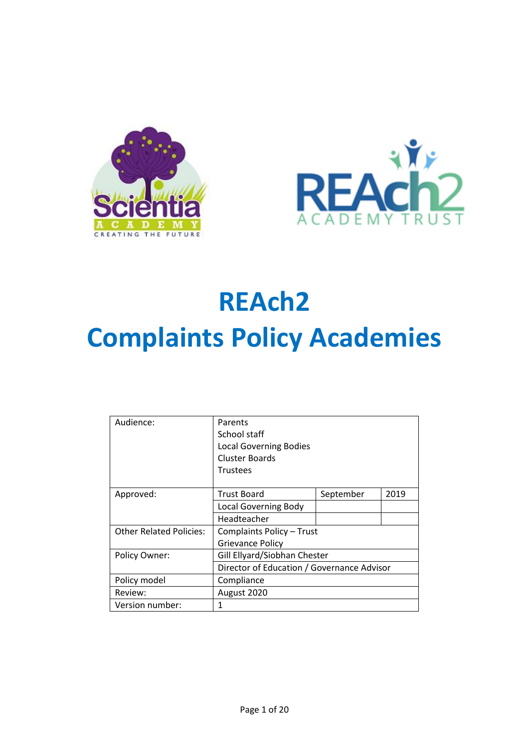



# **REAch2 Complaints Policy Academies**

| Audience:                      | Parents                                    |           |      |
|--------------------------------|--------------------------------------------|-----------|------|
|                                | School staff                               |           |      |
|                                | <b>Local Governing Bodies</b>              |           |      |
|                                | <b>Cluster Boards</b>                      |           |      |
|                                | <b>Trustees</b>                            |           |      |
|                                |                                            |           |      |
| Approved:                      | <b>Trust Board</b>                         | September | 2019 |
|                                | <b>Local Governing Body</b>                |           |      |
|                                | Headteacher                                |           |      |
| <b>Other Related Policies:</b> | Complaints Policy - Trust                  |           |      |
|                                | <b>Grievance Policy</b>                    |           |      |
| Policy Owner:                  | Gill Ellyard/Siobhan Chester               |           |      |
|                                | Director of Education / Governance Advisor |           |      |
| Policy model                   | Compliance                                 |           |      |
| Review:                        | August 2020                                |           |      |
| Version number:                | 1                                          |           |      |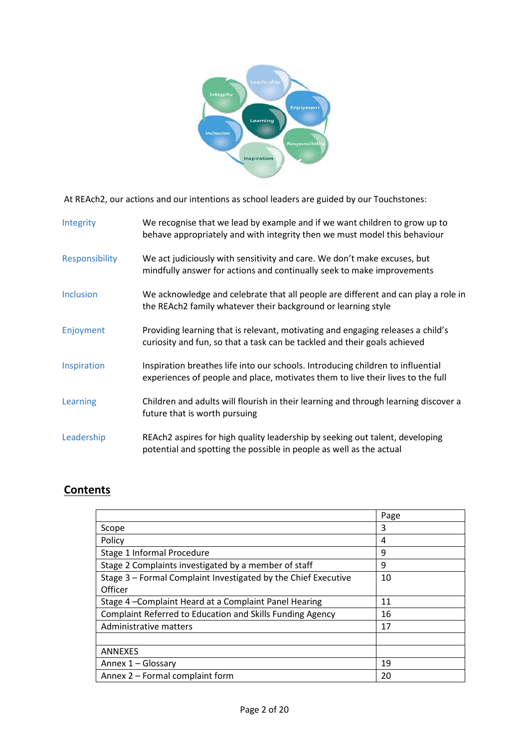

At REAch2, our actions and our intentions as school leaders are guided by our Touchstones:

| Integrity        | We recognise that we lead by example and if we want children to grow up to<br>behave appropriately and with integrity then we must model this behaviour            |
|------------------|--------------------------------------------------------------------------------------------------------------------------------------------------------------------|
| Responsibility   | We act judiciously with sensitivity and care. We don't make excuses, but<br>mindfully answer for actions and continually seek to make improvements                 |
| <b>Inclusion</b> | We acknowledge and celebrate that all people are different and can play a role in<br>the REAch2 family whatever their background or learning style                 |
| Enjoyment        | Providing learning that is relevant, motivating and engaging releases a child's<br>curiosity and fun, so that a task can be tackled and their goals achieved       |
| Inspiration      | Inspiration breathes life into our schools. Introducing children to influential<br>experiences of people and place, motivates them to live their lives to the full |
| Learning         | Children and adults will flourish in their learning and through learning discover a<br>future that is worth pursuing                                               |
| Leadership       | REAch2 aspires for high quality leadership by seeking out talent, developing<br>potential and spotting the possible in people as well as the actual                |

### **Contents**

|                                                                  | Page |
|------------------------------------------------------------------|------|
| Scope                                                            | 3    |
| Policy                                                           | 4    |
| Stage 1 Informal Procedure                                       | 9    |
| Stage 2 Complaints investigated by a member of staff             | 9    |
| Stage 3 - Formal Complaint Investigated by the Chief Executive   | 10   |
| Officer                                                          |      |
| Stage 4-Complaint Heard at a Complaint Panel Hearing             | 11   |
| <b>Complaint Referred to Education and Skills Funding Agency</b> | 16   |
| Administrative matters                                           | 17   |
|                                                                  |      |
| <b>ANNEXES</b>                                                   |      |
| Annex 1 - Glossary                                               | 19   |
| Annex 2 - Formal complaint form                                  | 20   |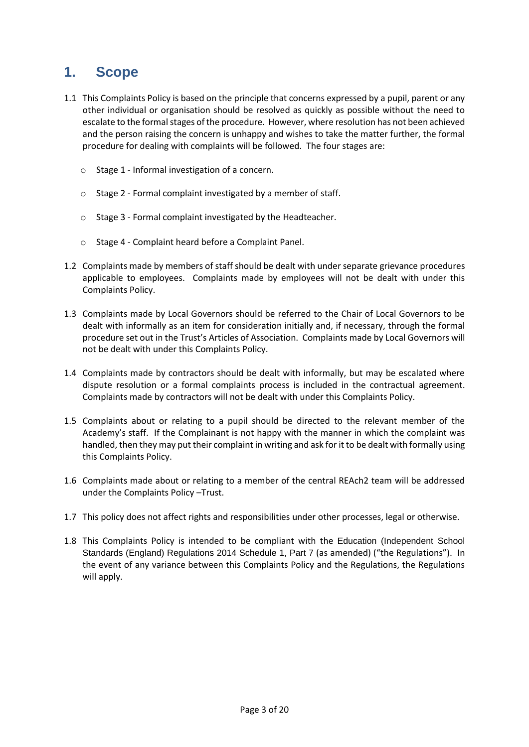## **1. Scope**

- 1.1 This Complaints Policy is based on the principle that concerns expressed by a pupil, parent or any other individual or organisation should be resolved as quickly as possible without the need to escalate to the formal stages of the procedure. However, where resolution has not been achieved and the person raising the concern is unhappy and wishes to take the matter further, the formal procedure for dealing with complaints will be followed. The four stages are:
	- o Stage 1 Informal investigation of a concern.
	- o Stage 2 Formal complaint investigated by a member of staff.
	- o Stage 3 Formal complaint investigated by the Headteacher.
	- o Stage 4 Complaint heard before a Complaint Panel.
- 1.2 Complaints made by members of staff should be dealt with under separate grievance procedures applicable to employees. Complaints made by employees will not be dealt with under this Complaints Policy.
- 1.3 Complaints made by Local Governors should be referred to the Chair of Local Governors to be dealt with informally as an item for consideration initially and, if necessary, through the formal procedure set out in the Trust's Articles of Association. Complaints made by Local Governors will not be dealt with under this Complaints Policy.
- 1.4 Complaints made by contractors should be dealt with informally, but may be escalated where dispute resolution or a formal complaints process is included in the contractual agreement. Complaints made by contractors will not be dealt with under this Complaints Policy.
- 1.5 Complaints about or relating to a pupil should be directed to the relevant member of the Academy's staff. If the Complainant is not happy with the manner in which the complaint was handled, then they may put their complaint in writing and ask for it to be dealt with formally using this Complaints Policy.
- 1.6 Complaints made about or relating to a member of the central REAch2 team will be addressed under the Complaints Policy –Trust.
- 1.7 This policy does not affect rights and responsibilities under other processes, legal or otherwise.
- 1.8 This Complaints Policy is intended to be compliant with the Education (Independent School Standards (England) Regulations 2014 Schedule 1, Part 7 (as amended) ("the Regulations"). In the event of any variance between this Complaints Policy and the Regulations, the Regulations will apply.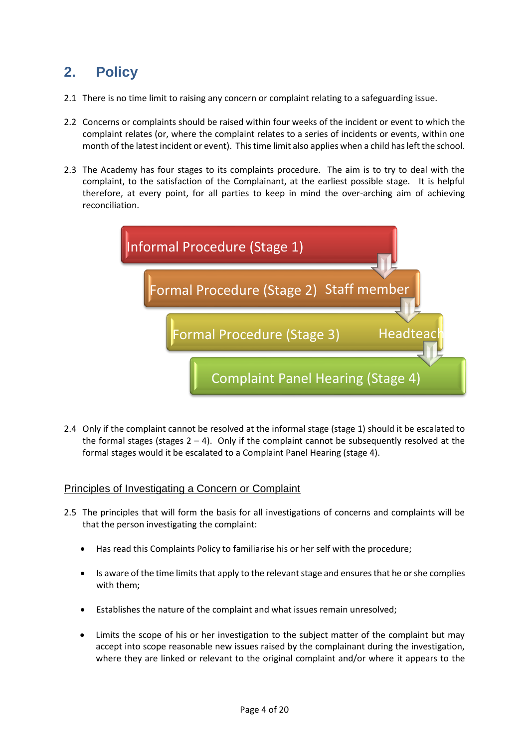## **2. Policy**

- 2.1 There is no time limit to raising any concern or complaint relating to a safeguarding issue.
- 2.2 Concerns or complaints should be raised within four weeks of the incident or event to which the complaint relates (or, where the complaint relates to a series of incidents or events, within one month of the latest incident or event). This time limit also applies when a child has left the school.
- 2.3 The Academy has four stages to its complaints procedure. The aim is to try to deal with the complaint, to the satisfaction of the Complainant, at the earliest possible stage.It is helpful therefore, at every point, for all parties to keep in mind the over-arching aim of achieving reconciliation.

| Informal Procedure (Stage 1)             |
|------------------------------------------|
| Formal Procedure (Stage 2) Staff member  |
| Formal Procedure (Stage 3)<br>Headteacl  |
| <b>Complaint Panel Hearing (Stage 4)</b> |

2.4 Only if the complaint cannot be resolved at the informal stage (stage 1) should it be escalated to the formal stages (stages  $2 - 4$ ). Only if the complaint cannot be subsequently resolved at the formal stages would it be escalated to a Complaint Panel Hearing (stage 4).

#### Principles of Investigating a Concern or Complaint

- 2.5 The principles that will form the basis for all investigations of concerns and complaints will be that the person investigating the complaint:
	- Has read this Complaints Policy to familiarise his or her self with the procedure;
	- Is aware of the time limits that apply to the relevant stage and ensures that he or she complies with them;
	- Establishes the nature of the complaint and what issues remain unresolved;
	- Limits the scope of his or her investigation to the subject matter of the complaint but may accept into scope reasonable new issues raised by the complainant during the investigation, where they are linked or relevant to the original complaint and/or where it appears to the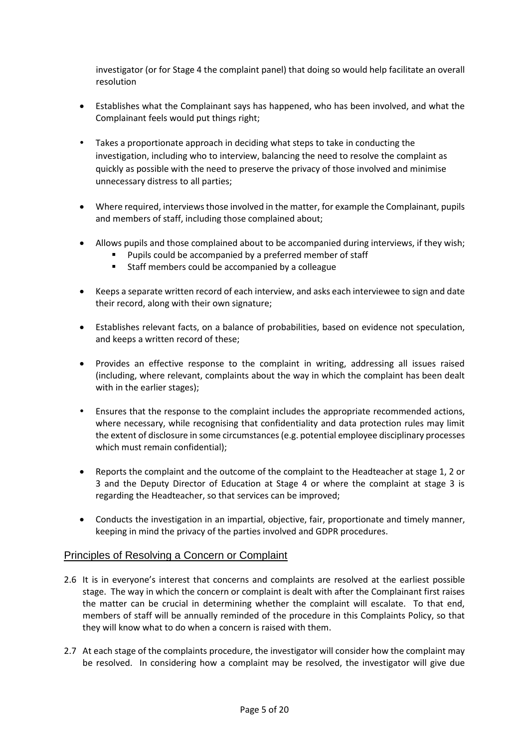investigator (or for Stage 4 the complaint panel) that doing so would help facilitate an overall resolution

- Establishes what the Complainant says has happened, who has been involved, and what the Complainant feels would put things right;
- Takes a proportionate approach in deciding what steps to take in conducting the investigation, including who to interview, balancing the need to resolve the complaint as quickly as possible with the need to preserve the privacy of those involved and minimise unnecessary distress to all parties;
- Where required, interviews those involved in the matter, for example the Complainant, pupils and members of staff, including those complained about;
- Allows pupils and those complained about to be accompanied during interviews, if they wish;
	- **Pupils could be accompanied by a preferred member of staff**
	- Staff members could be accompanied by a colleague
- Keeps a separate written record of each interview, and asks each interviewee to sign and date their record, along with their own signature;
- Establishes relevant facts, on a balance of probabilities, based on evidence not speculation, and keeps a written record of these;
- Provides an effective response to the complaint in writing, addressing all issues raised (including, where relevant, complaints about the way in which the complaint has been dealt with in the earlier stages);
- Ensures that the response to the complaint includes the appropriate recommended actions, where necessary, while recognising that confidentiality and data protection rules may limit the extent of disclosure in some circumstances (e.g. potential employee disciplinary processes which must remain confidential);
- Reports the complaint and the outcome of the complaint to the Headteacher at stage 1, 2 or 3 and the Deputy Director of Education at Stage 4 or where the complaint at stage 3 is regarding the Headteacher, so that services can be improved;
- Conducts the investigation in an impartial, objective, fair, proportionate and timely manner, keeping in mind the privacy of the parties involved and GDPR procedures.

#### Principles of Resolving a Concern or Complaint

- 2.6 It is in everyone's interest that concerns and complaints are resolved at the earliest possible stage. The way in which the concern or complaint is dealt with after the Complainant first raises the matter can be crucial in determining whether the complaint will escalate. To that end, members of staff will be annually reminded of the procedure in this Complaints Policy, so that they will know what to do when a concern is raised with them.
- 2.7 At each stage of the complaints procedure, the investigator will consider how the complaint may be resolved. In considering how a complaint may be resolved, the investigator will give due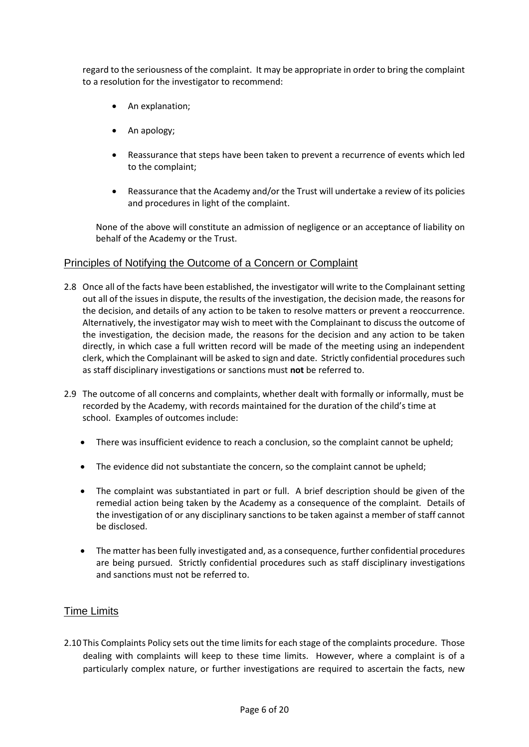regard to the seriousness of the complaint. It may be appropriate in order to bring the complaint to a resolution for the investigator to recommend:

- An explanation;
- An apology;
- Reassurance that steps have been taken to prevent a recurrence of events which led to the complaint;
- Reassurance that the Academy and/or the Trust will undertake a review of its policies and procedures in light of the complaint.

None of the above will constitute an admission of negligence or an acceptance of liability on behalf of the Academy or the Trust.

#### Principles of Notifying the Outcome of a Concern or Complaint

- 2.8 Once all of the facts have been established, the investigator will write to the Complainant setting out all of the issues in dispute, the results of the investigation, the decision made, the reasons for the decision, and details of any action to be taken to resolve matters or prevent a reoccurrence. Alternatively, the investigator may wish to meet with the Complainant to discuss the outcome of the investigation, the decision made, the reasons for the decision and any action to be taken directly, in which case a full written record will be made of the meeting using an independent clerk, which the Complainant will be asked to sign and date. Strictly confidential procedures such as staff disciplinary investigations or sanctions must **not** be referred to.
- 2.9 The outcome of all concerns and complaints, whether dealt with formally or informally, must be recorded by the Academy, with records maintained for the duration of the child's time at school. Examples of outcomes include:
	- There was insufficient evidence to reach a conclusion, so the complaint cannot be upheld;
	- The evidence did not substantiate the concern, so the complaint cannot be upheld;
	- The complaint was substantiated in part or full. A brief description should be given of the remedial action being taken by the Academy as a consequence of the complaint. Details of the investigation of or any disciplinary sanctions to be taken against a member of staff cannot be disclosed.
	- The matter has been fully investigated and, as a consequence, further confidential procedures are being pursued. Strictly confidential procedures such as staff disciplinary investigations and sanctions must not be referred to.

#### Time Limits

2.10 This Complaints Policy sets out the time limits for each stage of the complaints procedure. Those dealing with complaints will keep to these time limits. However, where a complaint is of a particularly complex nature, or further investigations are required to ascertain the facts, new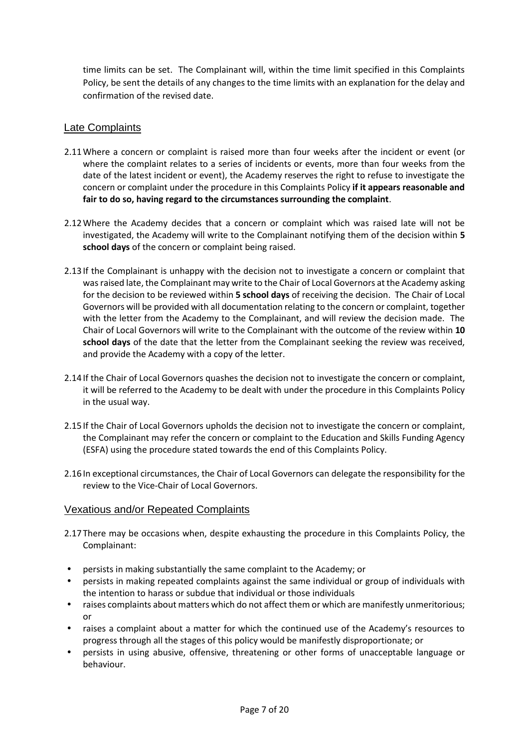time limits can be set. The Complainant will, within the time limit specified in this Complaints Policy, be sent the details of any changes to the time limits with an explanation for the delay and confirmation of the revised date.

#### Late Complaints

- 2.11Where a concern or complaint is raised more than four weeks after the incident or event (or where the complaint relates to a series of incidents or events, more than four weeks from the date of the latest incident or event), the Academy reserves the right to refuse to investigate the concern or complaint under the procedure in this Complaints Policy **if it appears reasonable and fair to do so, having regard to the circumstances surrounding the complaint**.
- 2.12Where the Academy decides that a concern or complaint which was raised late will not be investigated, the Academy will write to the Complainant notifying them of the decision within **5 school days** of the concern or complaint being raised.
- 2.13If the Complainant is unhappy with the decision not to investigate a concern or complaint that was raised late, the Complainant may write to the Chair of Local Governors at the Academy asking for the decision to be reviewed within **5 school days** of receiving the decision. The Chair of Local Governors will be provided with all documentation relating to the concern or complaint, together with the letter from the Academy to the Complainant, and will review the decision made. The Chair of Local Governors will write to the Complainant with the outcome of the review within **10 school days** of the date that the letter from the Complainant seeking the review was received, and provide the Academy with a copy of the letter.
- 2.14If the Chair of Local Governors quashes the decision not to investigate the concern or complaint, it will be referred to the Academy to be dealt with under the procedure in this Complaints Policy in the usual way.
- 2.15If the Chair of Local Governors upholds the decision not to investigate the concern or complaint, the Complainant may refer the concern or complaint to the Education and Skills Funding Agency (ESFA) using the procedure stated towards the end of this Complaints Policy.
- 2.16In exceptional circumstances, the Chair of Local Governors can delegate the responsibility for the review to the Vice-Chair of Local Governors.

#### Vexatious and/or Repeated Complaints

- 2.17There may be occasions when, despite exhausting the procedure in this Complaints Policy, the Complainant:
- persists in making substantially the same complaint to the Academy; or
- persists in making repeated complaints against the same individual or group of individuals with the intention to harass or subdue that individual or those individuals
- raises complaints about matters which do not affect them or which are manifestly unmeritorious; or
- raises a complaint about a matter for which the continued use of the Academy's resources to progress through all the stages of this policy would be manifestly disproportionate; or
- persists in using abusive, offensive, threatening or other forms of unacceptable language or behaviour.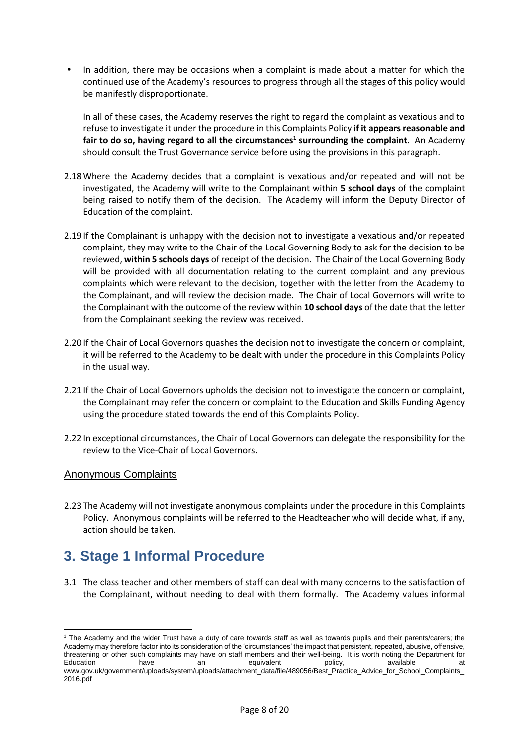In addition, there may be occasions when a complaint is made about a matter for which the continued use of the Academy's resources to progress through all the stages of this policy would be manifestly disproportionate.

In all of these cases, the Academy reserves the right to regard the complaint as vexatious and to refuse to investigate it under the procedure in this Complaints Policy **if it appears reasonable and fair to do so, having regard to all the circumstances<sup>1</sup> surrounding the complaint**. An Academy should consult the Trust Governance service before using the provisions in this paragraph.

- 2.18Where the Academy decides that a complaint is vexatious and/or repeated and will not be investigated, the Academy will write to the Complainant within **5 school days** of the complaint being raised to notify them of the decision. The Academy will inform the Deputy Director of Education of the complaint.
- 2.19If the Complainant is unhappy with the decision not to investigate a vexatious and/or repeated complaint, they may write to the Chair of the Local Governing Body to ask for the decision to be reviewed, **within 5 schools days** of receipt of the decision. The Chair of the Local Governing Body will be provided with all documentation relating to the current complaint and any previous complaints which were relevant to the decision, together with the letter from the Academy to the Complainant, and will review the decision made. The Chair of Local Governors will write to the Complainant with the outcome of the review within **10 school days** of the date that the letter from the Complainant seeking the review was received.
- 2.20If the Chair of Local Governors quashes the decision not to investigate the concern or complaint, it will be referred to the Academy to be dealt with under the procedure in this Complaints Policy in the usual way.
- 2.21If the Chair of Local Governors upholds the decision not to investigate the concern or complaint, the Complainant may refer the concern or complaint to the Education and Skills Funding Agency using the procedure stated towards the end of this Complaints Policy.
- 2.22In exceptional circumstances, the Chair of Local Governors can delegate the responsibility for the review to the Vice-Chair of Local Governors.

#### Anonymous Complaints

2.23The Academy will not investigate anonymous complaints under the procedure in this Complaints Policy. Anonymous complaints will be referred to the Headteacher who will decide what, if any, action should be taken.

## **3. Stage 1 Informal Procedure**

3.1 The class teacher and other members of staff can deal with many concerns to the satisfaction of the Complainant, without needing to deal with them formally. The Academy values informal

 $\overline{a}$ <sup>1</sup> The Academy and the wider Trust have a duty of care towards staff as well as towards pupils and their parents/carers; the Academy may therefore factor into its consideration of the 'circumstances' the impact that persistent, repeated, abusive, offensive, threatening or other such complaints may have on staff members and their well-being. It is worth noting the Department for Education have an equivalent policy, available at www.gov.uk/government/uploads/system/uploads/attachment\_data/file/489056/Best\_Practice\_Advice\_for\_School\_Complaints\_ 2016.pdf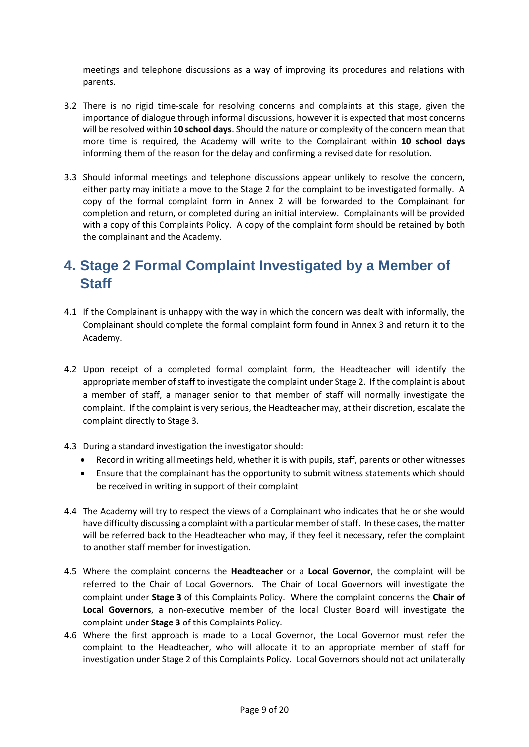meetings and telephone discussions as a way of improving its procedures and relations with parents.

- 3.2 There is no rigid time-scale for resolving concerns and complaints at this stage, given the importance of dialogue through informal discussions, however it is expected that most concerns will be resolved within **10 school days**. Should the nature or complexity of the concern mean that more time is required, the Academy will write to the Complainant within **10 school days** informing them of the reason for the delay and confirming a revised date for resolution.
- 3.3 Should informal meetings and telephone discussions appear unlikely to resolve the concern, either party may initiate a move to the Stage 2 for the complaint to be investigated formally. A copy of the formal complaint form in Annex 2 will be forwarded to the Complainant for completion and return, or completed during an initial interview. Complainants will be provided with a copy of this Complaints Policy. A copy of the complaint form should be retained by both the complainant and the Academy.

## **4. Stage 2 Formal Complaint Investigated by a Member of Staff**

- 4.1 If the Complainant is unhappy with the way in which the concern was dealt with informally, the Complainant should complete the formal complaint form found in Annex 3 and return it to the Academy.
- 4.2 Upon receipt of a completed formal complaint form, the Headteacher will identify the appropriate member of staff to investigate the complaint under Stage 2. If the complaint is about a member of staff, a manager senior to that member of staff will normally investigate the complaint. If the complaint is very serious, the Headteacher may, at their discretion, escalate the complaint directly to Stage 3.
- 4.3 During a standard investigation the investigator should:
	- Record in writing all meetings held, whether it is with pupils, staff, parents or other witnesses
	- Ensure that the complainant has the opportunity to submit witness statements which should be received in writing in support of their complaint
- 4.4 The Academy will try to respect the views of a Complainant who indicates that he or she would have difficulty discussing a complaint with a particular member of staff. In these cases, the matter will be referred back to the Headteacher who may, if they feel it necessary, refer the complaint to another staff member for investigation.
- 4.5 Where the complaint concerns the **Headteacher** or a **Local Governor**, the complaint will be referred to the Chair of Local Governors. The Chair of Local Governors will investigate the complaint under **Stage 3** of this Complaints Policy. Where the complaint concerns the **Chair of Local Governors**, a non-executive member of the local Cluster Board will investigate the complaint under **Stage 3** of this Complaints Policy.
- 4.6 Where the first approach is made to a Local Governor, the Local Governor must refer the complaint to the Headteacher, who will allocate it to an appropriate member of staff for investigation under Stage 2 of this Complaints Policy. Local Governors should not act unilaterally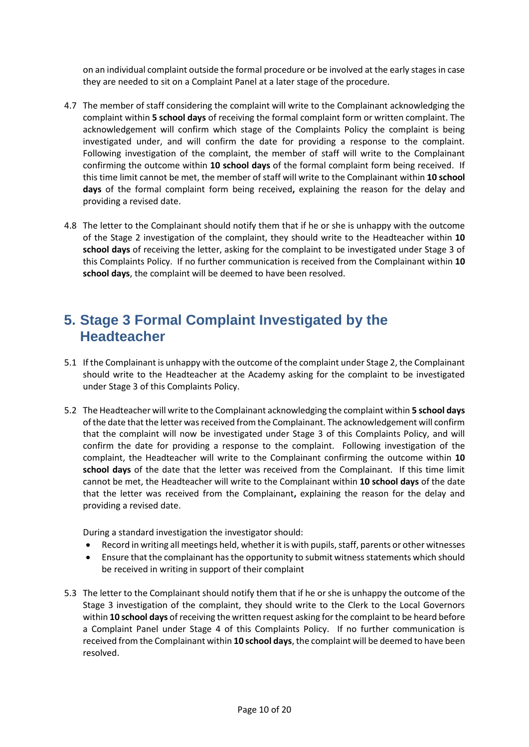on an individual complaint outside the formal procedure or be involved at the early stages in case they are needed to sit on a Complaint Panel at a later stage of the procedure.

- 4.7 The member of staff considering the complaint will write to the Complainant acknowledging the complaint within **5 school days** of receiving the formal complaint form or written complaint. The acknowledgement will confirm which stage of the Complaints Policy the complaint is being investigated under, and will confirm the date for providing a response to the complaint. Following investigation of the complaint, the member of staff will write to the Complainant confirming the outcome within **10 school days** of the formal complaint form being received. If this time limit cannot be met, the member of staff will write to the Complainant within **10 school days** of the formal complaint form being received**,** explaining the reason for the delay and providing a revised date.
- 4.8 The letter to the Complainant should notify them that if he or she is unhappy with the outcome of the Stage 2 investigation of the complaint, they should write to the Headteacher within **10 school days** of receiving the letter, asking for the complaint to be investigated under Stage 3 of this Complaints Policy. If no further communication is received from the Complainant within **10 school days**, the complaint will be deemed to have been resolved.

## **5. Stage 3 Formal Complaint Investigated by the Headteacher**

- 5.1 If the Complainant is unhappy with the outcome of the complaint under Stage 2, the Complainant should write to the Headteacher at the Academy asking for the complaint to be investigated under Stage 3 of this Complaints Policy.
- 5.2 The Headteacher will write to the Complainant acknowledging the complaint within **5 school days** of the date that the letter was received from the Complainant. The acknowledgement will confirm that the complaint will now be investigated under Stage 3 of this Complaints Policy, and will confirm the date for providing a response to the complaint. Following investigation of the complaint, the Headteacher will write to the Complainant confirming the outcome within **10 school days** of the date that the letter was received from the Complainant. If this time limit cannot be met, the Headteacher will write to the Complainant within **10 school days** of the date that the letter was received from the Complainant**,** explaining the reason for the delay and providing a revised date.

During a standard investigation the investigator should:

- Record in writing all meetings held, whether it is with pupils, staff, parents or other witnesses
- Ensure that the complainant has the opportunity to submit witness statements which should be received in writing in support of their complaint
- 5.3 The letter to the Complainant should notify them that if he or she is unhappy the outcome of the Stage 3 investigation of the complaint, they should write to the Clerk to the Local Governors within **10 school days** of receiving the written request asking for the complaint to be heard before a Complaint Panel under Stage 4 of this Complaints Policy. If no further communication is received from the Complainant within **10 school days**, the complaint will be deemed to have been resolved.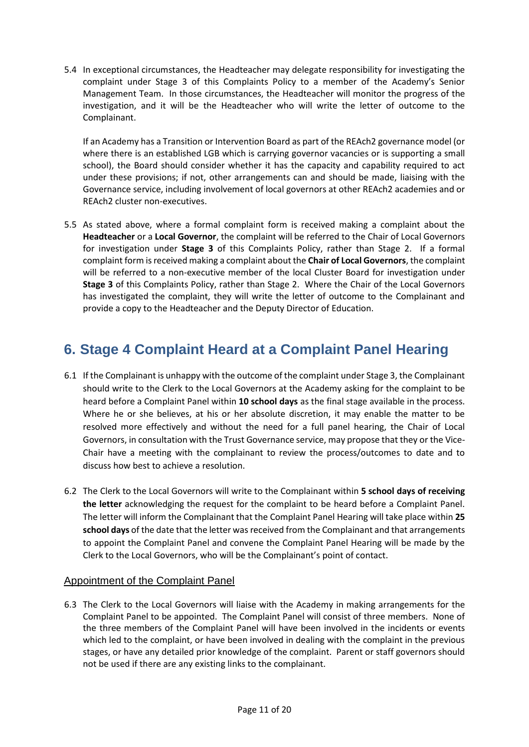5.4 In exceptional circumstances, the Headteacher may delegate responsibility for investigating the complaint under Stage 3 of this Complaints Policy to a member of the Academy's Senior Management Team. In those circumstances, the Headteacher will monitor the progress of the investigation, and it will be the Headteacher who will write the letter of outcome to the Complainant.

If an Academy has a Transition or Intervention Board as part of the REAch2 governance model (or where there is an established LGB which is carrying governor vacancies or is supporting a small school), the Board should consider whether it has the capacity and capability required to act under these provisions; if not, other arrangements can and should be made, liaising with the Governance service, including involvement of local governors at other REAch2 academies and or REAch2 cluster non-executives.

5.5 As stated above, where a formal complaint form is received making a complaint about the **Headteacher** or a **Local Governor**, the complaint will be referred to the Chair of Local Governors for investigation under **Stage 3** of this Complaints Policy, rather than Stage 2. If a formal complaint form is received making a complaint about the **Chair of Local Governors**, the complaint will be referred to a non-executive member of the local Cluster Board for investigation under **Stage 3** of this Complaints Policy, rather than Stage 2. Where the Chair of the Local Governors has investigated the complaint, they will write the letter of outcome to the Complainant and provide a copy to the Headteacher and the Deputy Director of Education.

## **6. Stage 4 Complaint Heard at a Complaint Panel Hearing**

- 6.1 If the Complainant is unhappy with the outcome of the complaint under Stage 3, the Complainant should write to the Clerk to the Local Governors at the Academy asking for the complaint to be heard before a Complaint Panel within **10 school days** as the final stage available in the process. Where he or she believes, at his or her absolute discretion, it may enable the matter to be resolved more effectively and without the need for a full panel hearing, the Chair of Local Governors, in consultation with the Trust Governance service, may propose that they or the Vice-Chair have a meeting with the complainant to review the process/outcomes to date and to discuss how best to achieve a resolution.
- 6.2 The Clerk to the Local Governors will write to the Complainant within **5 school days of receiving the letter** acknowledging the request for the complaint to be heard before a Complaint Panel. The letter will inform the Complainant that the Complaint Panel Hearing will take place within **25 school days** of the date that the letter was received from the Complainant and that arrangements to appoint the Complaint Panel and convene the Complaint Panel Hearing will be made by the Clerk to the Local Governors, who will be the Complainant's point of contact.

#### Appointment of the Complaint Panel

6.3 The Clerk to the Local Governors will liaise with the Academy in making arrangements for the Complaint Panel to be appointed. The Complaint Panel will consist of three members. None of the three members of the Complaint Panel will have been involved in the incidents or events which led to the complaint, or have been involved in dealing with the complaint in the previous stages, or have any detailed prior knowledge of the complaint. Parent or staff governors should not be used if there are any existing links to the complainant.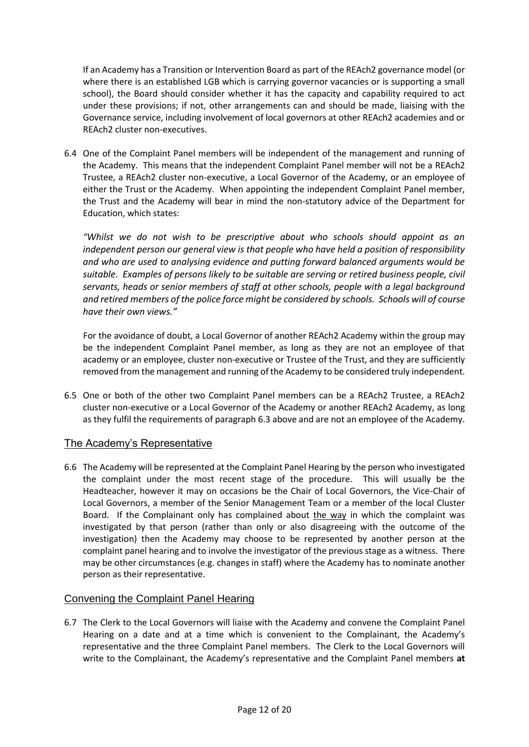If an Academy has a Transition or Intervention Board as part of the REAch2 governance model (or where there is an established LGB which is carrying governor vacancies or is supporting a small school), the Board should consider whether it has the capacity and capability required to act under these provisions; if not, other arrangements can and should be made, liaising with the Governance service, including involvement of local governors at other REAch2 academies and or REAch2 cluster non-executives.

6.4 One of the Complaint Panel members will be independent of the management and running of the Academy. This means that the independent Complaint Panel member will not be a REAch2 Trustee, a REAch2 cluster non-executive, a Local Governor of the Academy, or an employee of either the Trust or the Academy. When appointing the independent Complaint Panel member, the Trust and the Academy will bear in mind the non-statutory advice of the Department for Education, which states:

*"Whilst we do not wish to be prescriptive about who schools should appoint as an independent person our general view is that people who have held a position of responsibility and who are used to analysing evidence and putting forward balanced arguments would be suitable. Examples of persons likely to be suitable are serving or retired business people, civil servants, heads or senior members of staff at other schools, people with a legal background and retired members of the police force might be considered by schools. Schools will of course have their own views."* 

For the avoidance of doubt, a Local Governor of another REAch2 Academy within the group may be the independent Complaint Panel member, as long as they are not an employee of that academy or an employee, cluster non-executive or Trustee of the Trust, and they are sufficiently removed from the management and running of the Academy to be considered truly independent.

6.5 One or both of the other two Complaint Panel members can be a REAch2 Trustee, a REAch2 cluster non-executive or a Local Governor of the Academy or another REAch2 Academy, as long as they fulfil the requirements of paragraph 6.3 above and are not an employee of the Academy.

#### The Academy's Representative

6.6 The Academy will be represented at the Complaint Panel Hearing by the person who investigated the complaint under the most recent stage of the procedure. This will usually be the Headteacher, however it may on occasions be the Chair of Local Governors, the Vice-Chair of Local Governors, a member of the Senior Management Team or a member of the local Cluster Board. If the Complainant only has complained about the way in which the complaint was investigated by that person (rather than only or also disagreeing with the outcome of the investigation) then the Academy may choose to be represented by another person at the complaint panel hearing and to involve the investigator of the previous stage as a witness. There may be other circumstances (e.g. changes in staff) where the Academy has to nominate another person as their representative.

#### Convening the Complaint Panel Hearing

6.7 The Clerk to the Local Governors will liaise with the Academy and convene the Complaint Panel Hearing on a date and at a time which is convenient to the Complainant, the Academy's representative and the three Complaint Panel members. The Clerk to the Local Governors will write to the Complainant, the Academy's representative and the Complaint Panel members **at**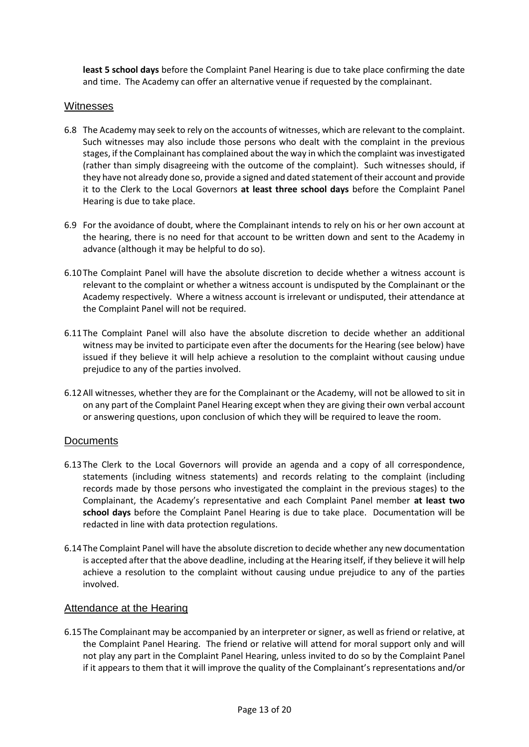**least 5 school days** before the Complaint Panel Hearing is due to take place confirming the date and time. The Academy can offer an alternative venue if requested by the complainant.

#### **Witnesses**

- 6.8 The Academy may seek to rely on the accounts of witnesses, which are relevant to the complaint. Such witnesses may also include those persons who dealt with the complaint in the previous stages, if the Complainant has complained about the way in which the complaint was investigated (rather than simply disagreeing with the outcome of the complaint). Such witnesses should, if they have not already done so, provide a signed and dated statement of their account and provide it to the Clerk to the Local Governors **at least three school days** before the Complaint Panel Hearing is due to take place.
- 6.9 For the avoidance of doubt, where the Complainant intends to rely on his or her own account at the hearing, there is no need for that account to be written down and sent to the Academy in advance (although it may be helpful to do so).
- 6.10The Complaint Panel will have the absolute discretion to decide whether a witness account is relevant to the complaint or whether a witness account is undisputed by the Complainant or the Academy respectively. Where a witness account is irrelevant or undisputed, their attendance at the Complaint Panel will not be required.
- 6.11The Complaint Panel will also have the absolute discretion to decide whether an additional witness may be invited to participate even after the documents for the Hearing (see below) have issued if they believe it will help achieve a resolution to the complaint without causing undue prejudice to any of the parties involved.
- 6.12All witnesses, whether they are for the Complainant or the Academy, will not be allowed to sit in on any part of the Complaint Panel Hearing except when they are giving their own verbal account or answering questions, upon conclusion of which they will be required to leave the room.

#### **Documents**

- 6.13The Clerk to the Local Governors will provide an agenda and a copy of all correspondence, statements (including witness statements) and records relating to the complaint (including records made by those persons who investigated the complaint in the previous stages) to the Complainant, the Academy's representative and each Complaint Panel member **at least two school days** before the Complaint Panel Hearing is due to take place. Documentation will be redacted in line with data protection regulations.
- 6.14The Complaint Panel will have the absolute discretion to decide whether any new documentation is accepted after that the above deadline, including at the Hearing itself, if they believe it will help achieve a resolution to the complaint without causing undue prejudice to any of the parties involved.

#### Attendance at the Hearing

6.15The Complainant may be accompanied by an interpreter or signer, as well as friend or relative, at the Complaint Panel Hearing. The friend or relative will attend for moral support only and will not play any part in the Complaint Panel Hearing, unless invited to do so by the Complaint Panel if it appears to them that it will improve the quality of the Complainant's representations and/or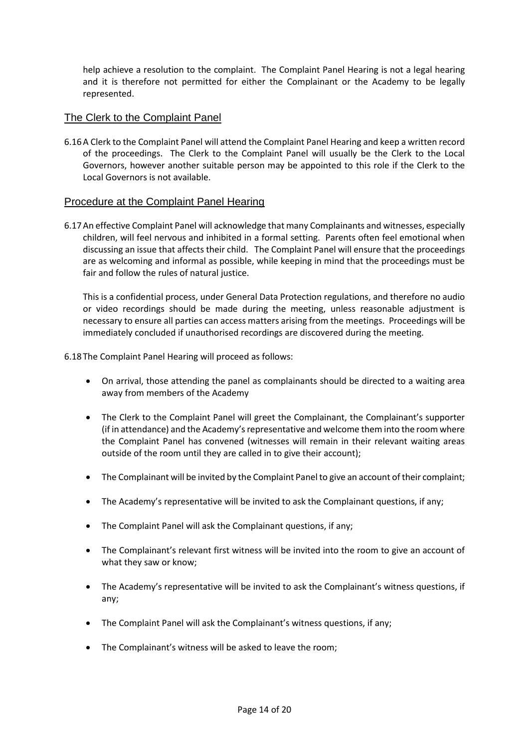help achieve a resolution to the complaint. The Complaint Panel Hearing is not a legal hearing and it is therefore not permitted for either the Complainant or the Academy to be legally represented.

#### The Clerk to the Complaint Panel

6.16A Clerk to the Complaint Panel will attend the Complaint Panel Hearing and keep a written record of the proceedings. The Clerk to the Complaint Panel will usually be the Clerk to the Local Governors, however another suitable person may be appointed to this role if the Clerk to the Local Governors is not available.

#### Procedure at the Complaint Panel Hearing

6.17An effective Complaint Panel will acknowledge that many Complainants and witnesses, especially children, will feel nervous and inhibited in a formal setting. Parents often feel emotional when discussing an issue that affects their child. The Complaint Panel will ensure that the proceedings are as welcoming and informal as possible, while keeping in mind that the proceedings must be fair and follow the rules of natural justice.

This is a confidential process, under General Data Protection regulations, and therefore no audio or video recordings should be made during the meeting, unless reasonable adjustment is necessary to ensure all parties can access matters arising from the meetings. Proceedings will be immediately concluded if unauthorised recordings are discovered during the meeting.

6.18The Complaint Panel Hearing will proceed as follows:

- On arrival, those attending the panel as complainants should be directed to a waiting area away from members of the Academy
- The Clerk to the Complaint Panel will greet the Complainant, the Complainant's supporter (if in attendance) and the Academy's representative and welcome them into the room where the Complaint Panel has convened (witnesses will remain in their relevant waiting areas outside of the room until they are called in to give their account);
- The Complainant will be invited by the Complaint Panel to give an account of their complaint;
- The Academy's representative will be invited to ask the Complainant questions, if any;
- The Complaint Panel will ask the Complainant questions, if any;
- The Complainant's relevant first witness will be invited into the room to give an account of what they saw or know;
- The Academy's representative will be invited to ask the Complainant's witness questions, if any;
- The Complaint Panel will ask the Complainant's witness questions, if any;
- The Complainant's witness will be asked to leave the room;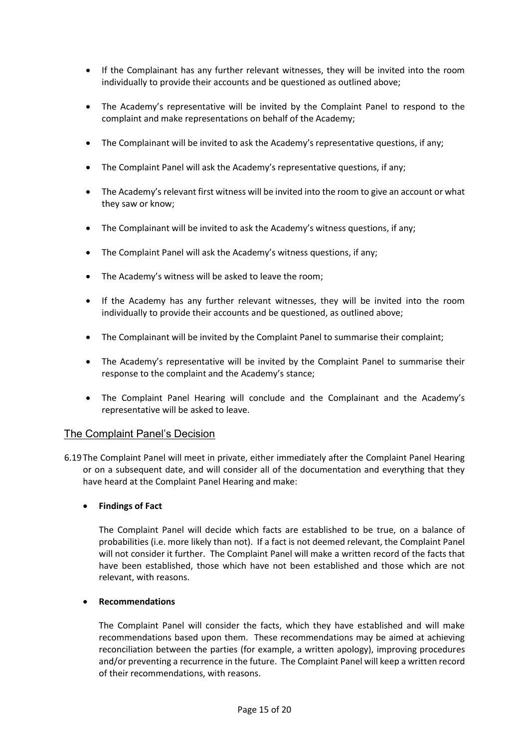- If the Complainant has any further relevant witnesses, they will be invited into the room individually to provide their accounts and be questioned as outlined above;
- The Academy's representative will be invited by the Complaint Panel to respond to the complaint and make representations on behalf of the Academy;
- The Complainant will be invited to ask the Academy's representative questions, if any;
- The Complaint Panel will ask the Academy's representative questions, if any;
- The Academy's relevant first witness will be invited into the room to give an account or what they saw or know;
- The Complainant will be invited to ask the Academy's witness questions, if any;
- The Complaint Panel will ask the Academy's witness questions, if any;
- The Academy's witness will be asked to leave the room;
- If the Academy has any further relevant witnesses, they will be invited into the room individually to provide their accounts and be questioned, as outlined above;
- The Complainant will be invited by the Complaint Panel to summarise their complaint;
- The Academy's representative will be invited by the Complaint Panel to summarise their response to the complaint and the Academy's stance;
- The Complaint Panel Hearing will conclude and the Complainant and the Academy's representative will be asked to leave.

#### The Complaint Panel's Decision

6.19The Complaint Panel will meet in private, either immediately after the Complaint Panel Hearing or on a subsequent date, and will consider all of the documentation and everything that they have heard at the Complaint Panel Hearing and make:

#### **Findings of Fact**

The Complaint Panel will decide which facts are established to be true, on a balance of probabilities (i.e. more likely than not). If a fact is not deemed relevant, the Complaint Panel will not consider it further. The Complaint Panel will make a written record of the facts that have been established, those which have not been established and those which are not relevant, with reasons.

#### **Recommendations**

The Complaint Panel will consider the facts, which they have established and will make recommendations based upon them. These recommendations may be aimed at achieving reconciliation between the parties (for example, a written apology), improving procedures and/or preventing a recurrence in the future. The Complaint Panel will keep a written record of their recommendations, with reasons.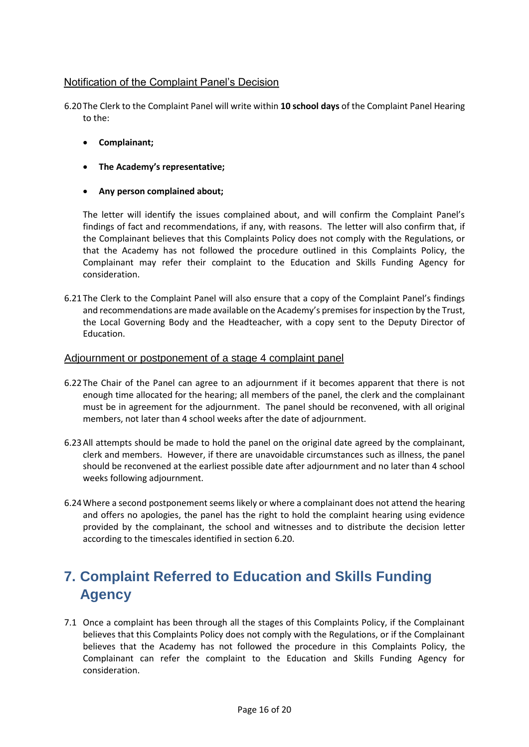#### Notification of the Complaint Panel's Decision

6.20The Clerk to the Complaint Panel will write within **10 school days** of the Complaint Panel Hearing to the:

- **Complainant;**
- **The Academy's representative;**
- **Any person complained about;**

The letter will identify the issues complained about, and will confirm the Complaint Panel's findings of fact and recommendations, if any, with reasons. The letter will also confirm that, if the Complainant believes that this Complaints Policy does not comply with the Regulations, or that the Academy has not followed the procedure outlined in this Complaints Policy, the Complainant may refer their complaint to the Education and Skills Funding Agency for consideration.

6.21The Clerk to the Complaint Panel will also ensure that a copy of the Complaint Panel's findings and recommendations are made available on the Academy's premises for inspection by the Trust, the Local Governing Body and the Headteacher, with a copy sent to the Deputy Director of Education.

#### Adjournment or postponement of a stage 4 complaint panel

- 6.22The Chair of the Panel can agree to an adjournment if it becomes apparent that there is not enough time allocated for the hearing; all members of the panel, the clerk and the complainant must be in agreement for the adjournment. The panel should be reconvened, with all original members, not later than 4 school weeks after the date of adjournment.
- 6.23All attempts should be made to hold the panel on the original date agreed by the complainant, clerk and members. However, if there are unavoidable circumstances such as illness, the panel should be reconvened at the earliest possible date after adjournment and no later than 4 school weeks following adjournment.
- 6.24Where a second postponement seems likely or where a complainant does not attend the hearing and offers no apologies, the panel has the right to hold the complaint hearing using evidence provided by the complainant, the school and witnesses and to distribute the decision letter according to the timescales identified in section 6.20.

## **7. Complaint Referred to Education and Skills Funding Agency**

7.1 Once a complaint has been through all the stages of this Complaints Policy, if the Complainant believes that this Complaints Policy does not comply with the Regulations, or if the Complainant believes that the Academy has not followed the procedure in this Complaints Policy, the Complainant can refer the complaint to the Education and Skills Funding Agency for consideration.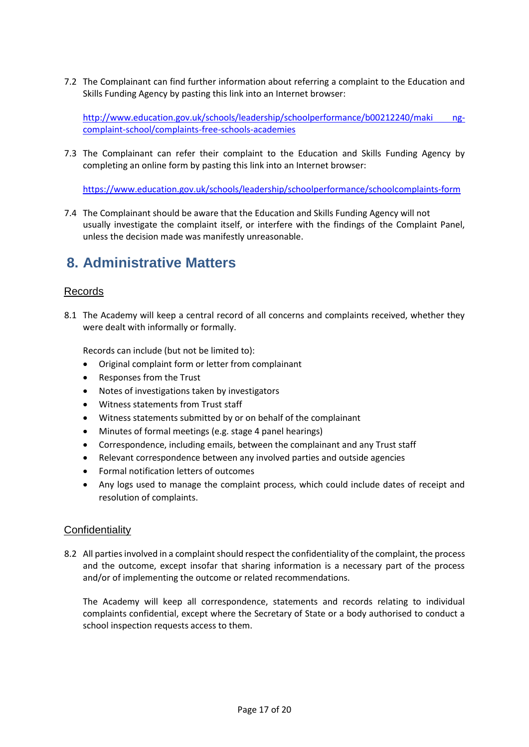7.2 The Complainant can find further information about referring a complaint to the Education and Skills Funding Agency by pasting this link into an Internet browser:

[http://www.education.gov.uk/schools/leadership/schoolperformance/b00212240/maki ng](http://www.education.gov.uk/schools/leadership/schoolperformance/b00212240/making-complaint-school/complaints-free-schools-academies)[complaint-school/complaints-free-schools-academies](http://www.education.gov.uk/schools/leadership/schoolperformance/b00212240/making-complaint-school/complaints-free-schools-academies)

7.3 The Complainant can refer their complaint to the Education and Skills Funding Agency by completing an online form by pasting this link into an Internet browser:

[https://www.education.gov.uk/schools/leadership/schoolperformance/schoolcomplaints-form](https://www.education.gov.uk/schools/leadership/schoolperformance/school-complaints-form)

7.4 The Complainant should be aware that the Education and Skills Funding Agency will not usually investigate the complaint itself, or interfere with the findings of the Complaint Panel, unless the decision made was manifestly unreasonable.

## **8. Administrative Matters**

#### Records

8.1 The Academy will keep a central record of all concerns and complaints received, whether they were dealt with informally or formally.

Records can include (but not be limited to):

- Original complaint form or letter from complainant
- Responses from the Trust
- Notes of investigations taken by investigators
- Witness statements from Trust staff
- Witness statements submitted by or on behalf of the complainant
- Minutes of formal meetings (e.g. stage 4 panel hearings)
- Correspondence, including emails, between the complainant and any Trust staff
- Relevant correspondence between any involved parties and outside agencies
- Formal notification letters of outcomes
- Any logs used to manage the complaint process, which could include dates of receipt and resolution of complaints.

#### **Confidentiality**

8.2 All parties involved in a complaint should respect the confidentiality of the complaint, the process and the outcome, except insofar that sharing information is a necessary part of the process and/or of implementing the outcome or related recommendations.

The Academy will keep all correspondence, statements and records relating to individual complaints confidential, except where the Secretary of State or a body authorised to conduct a school inspection requests access to them.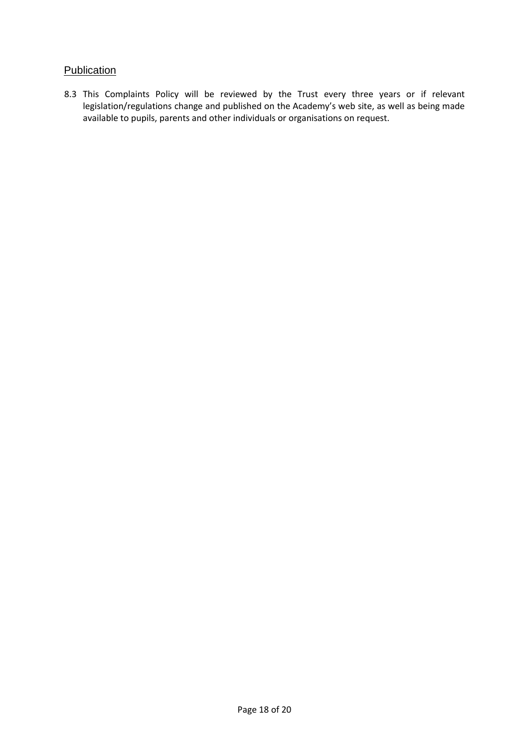#### **Publication**

8.3 This Complaints Policy will be reviewed by the Trust every three years or if relevant legislation/regulations change and published on the Academy's web site, as well as being made available to pupils, parents and other individuals or organisations on request.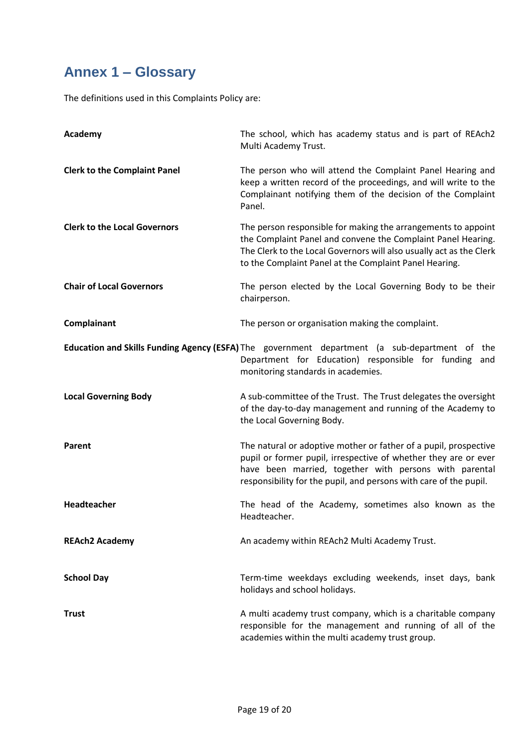# **Annex 1 – Glossary**

The definitions used in this Complaints Policy are:

| Academy                             | The school, which has academy status and is part of REAch2<br>Multi Academy Trust.                                                                                                                                                                                 |  |
|-------------------------------------|--------------------------------------------------------------------------------------------------------------------------------------------------------------------------------------------------------------------------------------------------------------------|--|
| <b>Clerk to the Complaint Panel</b> | The person who will attend the Complaint Panel Hearing and<br>keep a written record of the proceedings, and will write to the<br>Complainant notifying them of the decision of the Complaint<br>Panel.                                                             |  |
| <b>Clerk to the Local Governors</b> | The person responsible for making the arrangements to appoint<br>the Complaint Panel and convene the Complaint Panel Hearing.<br>The Clerk to the Local Governors will also usually act as the Clerk<br>to the Complaint Panel at the Complaint Panel Hearing.     |  |
| <b>Chair of Local Governors</b>     | The person elected by the Local Governing Body to be their<br>chairperson.                                                                                                                                                                                         |  |
| Complainant                         | The person or organisation making the complaint.                                                                                                                                                                                                                   |  |
|                                     | Education and Skills Funding Agency (ESFA) The government department (a sub-department of the<br>Department for Education) responsible for funding and<br>monitoring standards in academies.                                                                       |  |
| <b>Local Governing Body</b>         | A sub-committee of the Trust. The Trust delegates the oversight<br>of the day-to-day management and running of the Academy to<br>the Local Governing Body.                                                                                                         |  |
| Parent                              | The natural or adoptive mother or father of a pupil, prospective<br>pupil or former pupil, irrespective of whether they are or ever<br>have been married, together with persons with parental<br>responsibility for the pupil, and persons with care of the pupil. |  |
| Headteacher                         | The head of the Academy, sometimes also known as the<br>Headteacher.                                                                                                                                                                                               |  |
| <b>REAch2 Academy</b>               | An academy within REAch2 Multi Academy Trust.                                                                                                                                                                                                                      |  |
| <b>School Day</b>                   | Term-time weekdays excluding weekends, inset days, bank<br>holidays and school holidays.                                                                                                                                                                           |  |
| <b>Trust</b>                        | A multi academy trust company, which is a charitable company<br>responsible for the management and running of all of the<br>academies within the multi academy trust group.                                                                                        |  |